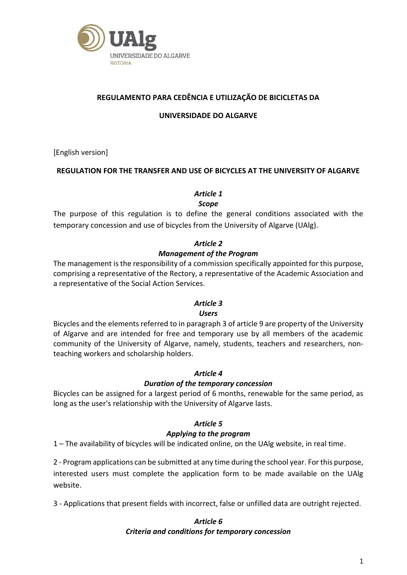

## **REGULAMENTO PARA CEDÊNCIA E UTILIZAÇÃO DE BICICLETAS DA**

#### **UNIVERSIDADE DO ALGARVE**

[English version]

#### **REGULATION FOR THE TRANSFER AND USE OF BICYCLES AT THE UNIVERSITY OF ALGARVE**

## *Article 1*

*Scope*

The purpose of this regulation is to define the general conditions associated with the temporary concession and use of bicycles from the University of Algarve (UAlg).

# *Article 2 Management of the Program*

The management is the responsibility of a commission specifically appointed for this purpose, comprising a representative of the Rectory, a representative of the Academic Association and a representative of the Social Action Services.

## *Article 3*

#### *Users*

Bicycles and the elements referred to in paragraph 3 of article 9 are property of the University of Algarve and are intended for free and temporary use by all members of the academic community of the University of Algarve, namely, students, teachers and researchers, nonteaching workers and scholarship holders.

#### *Article 4*

#### *Duration of the temporary concession*

Bicycles can be assigned for a largest period of 6 months, renewable for the same period, as long as the user's relationship with the University of Algarve lasts.

#### *Article 5*

#### *Applying to the program*

1 – The availability of bicycles will be indicated online, on the UAlg website, in real time.

2 - Program applications can be submitted at any time during the school year. For this purpose, interested users must complete the application form to be made available on the UAlg website.

3 - Applications that present fields with incorrect, false or unfilled data are outright rejected.

#### *Article 6 Criteria and conditions for temporary concession*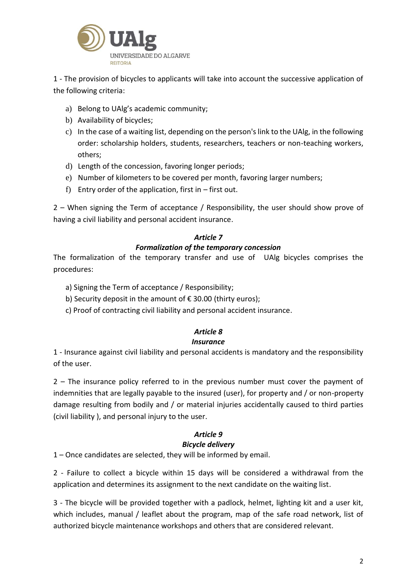

1 - The provision of bicycles to applicants will take into account the successive application of the following criteria:

- a) Belong to UAlg's academic community;
- b) Availability of bicycles;
- c) In the case of a waiting list, depending on the person's link to the UAlg, in the following order: scholarship holders, students, researchers, teachers or non-teaching workers, others;
- d) Length of the concession, favoring longer periods;
- e) Number of kilometers to be covered per month, favoring larger numbers;
- f) Entry order of the application, first in  $-$  first out.

2 – When signing the Term of acceptance / Responsibility, the user should show prove of having a civil liability and personal accident insurance.

#### *Article 7*

#### *Formalization of the temporary concession*

The formalization of the temporary transfer and use of UAlg bicycles comprises the procedures:

- a) Signing the Term of acceptance / Responsibility;
- b) Security deposit in the amount of € 30.00 (thirty euros);
- c) Proof of contracting civil liability and personal accident insurance.

## *Article 8*

#### *Insurance*

1 - Insurance against civil liability and personal accidents is mandatory and the responsibility of the user.

2 – The insurance policy referred to in the previous number must cover the payment of indemnities that are legally payable to the insured (user), for property and / or non-property damage resulting from bodily and / or material injuries accidentally caused to third parties (civil liability ), and personal injury to the user.

#### *Article 9 Bicycle delivery*

1 – Once candidates are selected, they will be informed by email.

2 - Failure to collect a bicycle within 15 days will be considered a withdrawal from the application and determines its assignment to the next candidate on the waiting list.

3 - The bicycle will be provided together with a padlock, helmet, lighting kit and a user kit, which includes, manual / leaflet about the program, map of the safe road network, list of authorized bicycle maintenance workshops and others that are considered relevant.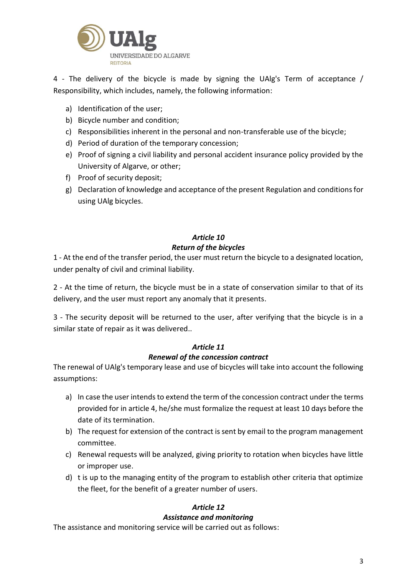

4 - The delivery of the bicycle is made by signing the UAlg's Term of acceptance / Responsibility, which includes, namely, the following information:

- a) Identification of the user;
- b) Bicycle number and condition;
- c) Responsibilities inherent in the personal and non-transferable use of the bicycle;
- d) Period of duration of the temporary concession;
- e) Proof of signing a civil liability and personal accident insurance policy provided by the University of Algarve, or other;
- f) Proof of security deposit;
- g) Declaration of knowledge and acceptance of the present Regulation and conditions for using UAlg bicycles.

## *Article 10*

#### *Return of the bicycles*

1 - At the end of the transfer period, the user must return the bicycle to a designated location, under penalty of civil and criminal liability.

2 - At the time of return, the bicycle must be in a state of conservation similar to that of its delivery, and the user must report any anomaly that it presents.

3 - The security deposit will be returned to the user, after verifying that the bicycle is in a similar state of repair as it was delivered..

#### *Article 11*

#### *Renewal of the concession contract*

The renewal of UAlg's temporary lease and use of bicycles will take into account the following assumptions:

- a) In case the user intends to extend the term of the concession contract under the terms provided for in article 4, he/she must formalize the request at least 10 days before the date of its termination.
- b) The request for extension of the contract is sent by email to the program management committee.
- c) Renewal requests will be analyzed, giving priority to rotation when bicycles have little or improper use.
- d) t is up to the managing entity of the program to establish other criteria that optimize the fleet, for the benefit of a greater number of users.

## *Article 12*

#### *Assistance and monitoring*

The assistance and monitoring service will be carried out as follows: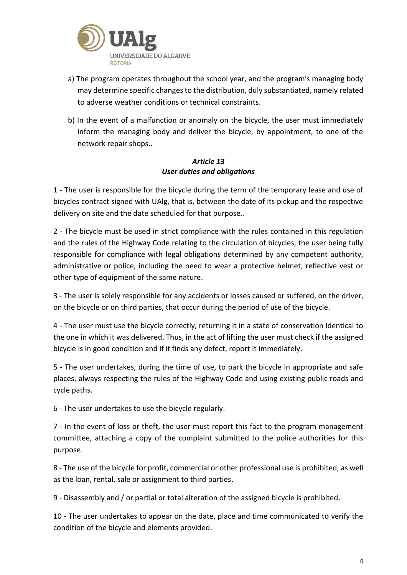

- a) The program operates throughout the school year, and the program's managing body may determine specific changes to the distribution, duly substantiated, namely related to adverse weather conditions or technical constraints.
- b) In the event of a malfunction or anomaly on the bicycle, the user must immediately inform the managing body and deliver the bicycle, by appointment, to one of the network repair shops..

#### *Article 13 User duties and obligations*

1 - The user is responsible for the bicycle during the term of the temporary lease and use of bicycles contract signed with UAlg, that is, between the date of its pickup and the respective delivery on site and the date scheduled for that purpose..

2 - The bicycle must be used in strict compliance with the rules contained in this regulation and the rules of the Highway Code relating to the circulation of bicycles, the user being fully responsible for compliance with legal obligations determined by any competent authority, administrative or police, including the need to wear a protective helmet, reflective vest or other type of equipment of the same nature.

3 - The user is solely responsible for any accidents or losses caused or suffered, on the driver, on the bicycle or on third parties, that occur during the period of use of the bicycle.

4 - The user must use the bicycle correctly, returning it in a state of conservation identical to the one in which it was delivered. Thus, in the act of lifting the user must check if the assigned bicycle is in good condition and if it finds any defect, report it immediately.

5 - The user undertakes, during the time of use, to park the bicycle in appropriate and safe places, always respecting the rules of the Highway Code and using existing public roads and cycle paths.

6 - The user undertakes to use the bicycle regularly.

7 - In the event of loss or theft, the user must report this fact to the program management committee, attaching a copy of the complaint submitted to the police authorities for this purpose.

8 - The use of the bicycle for profit, commercial or other professional use is prohibited, as well as the loan, rental, sale or assignment to third parties.

9 - Disassembly and / or partial or total alteration of the assigned bicycle is prohibited.

10 - The user undertakes to appear on the date, place and time communicated to verify the condition of the bicycle and elements provided.